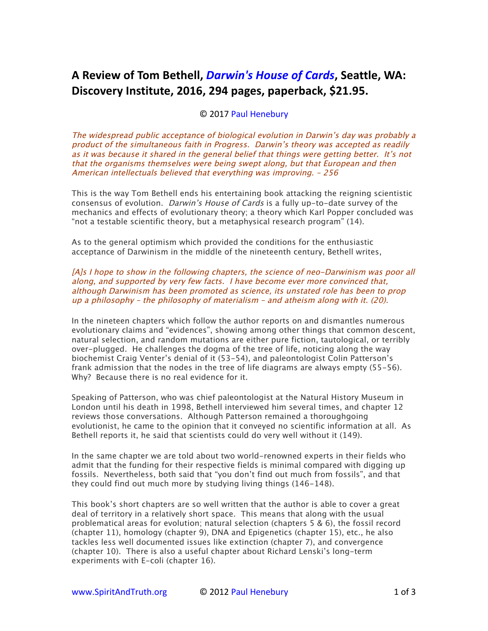## A Review of Tom Bethell, *Darwin's House of Cards*, Seattle, WA: Discovery Institute, 2016, 294 pages, paperback, \$21.95.

## © 2017 Paul Henebury

*The widespread public acceptance of biological evolution in Darwin's day was probably a product of the simultaneous faith in Progress. Darwin's theory was accepted as readily as it was because it shared in the general belief that things were getting better. It's not that the organisms themselves were being swept along, but that European and then American intellectuals believed that everything was improving. – 256*

*This is the way Tom Bethell ends his entertaining book attacking the reigning scientistic consensus of evolution. Darwin's House of Cards is a fully up-to-date survey of the mechanics and effects of evolutionary theory; a theory which Karl Popper concluded was "not a testable scientific theory, but a metaphysical research program" (14).*

*As to the general optimism which provided the conditions for the enthusiastic acceptance of Darwinism in the middle of the nineteenth century, Bethell writes,*

*[A]s I hope to show in the following chapters, the science of neo-Darwinism was poor all along, and supported by very few facts. I have become ever more convinced that, although Darwinism has been promoted as science, its unstated role has been to prop up a philosophy – the philosophy of materialism – and atheism along with it. (20).*

*In the nineteen chapters which follow the author reports on and dismantles numerous evolutionary claims and "evidences", showing among other things that common descent, natural selection, and random mutations are either pure fiction, tautological, or terribly over-plugged. He challenges the dogma of the tree of life, noticing along the way biochemist Craig Venter's denial of it (53-54), and paleontologist Colin Patterson's frank admission that the nodes in the tree of life diagrams are always empty (55-56). Why? Because there is no real evidence for it.*

*Speaking of Patterson, who was chief paleontologist at the Natural History Museum in London until his death in 1998, Bethell interviewed him several times, and chapter 12 reviews those conversations. Although Patterson remained a thoroughgoing evolutionist, he came to the opinion that it conveyed no scientific information at all. As Bethell reports it, he said that scientists could do very well without it (149).*

*In the same chapter we are told about two world-renowned experts in their fields who admit that the funding for their respective fields is minimal compared with digging up fossils. Nevertheless, both said that "you don't find out much from fossils", and that they could find out much more by studying living things (146-148).*

*This book's short chapters are so well written that the author is able to cover a great deal of territory in a relatively short space. This means that along with the usual problematical areas for evolution; natural selection (chapters 5 & 6), the fossil record (chapter 11), homology (chapter 9), DNA and Epigenetics (chapter 15), etc., he also tackles less well documented issues like extinction (chapter 7), and convergence (chapter 10). There is also a useful chapter about Richard Lenski's long-term experiments with E-coli (chapter 16).*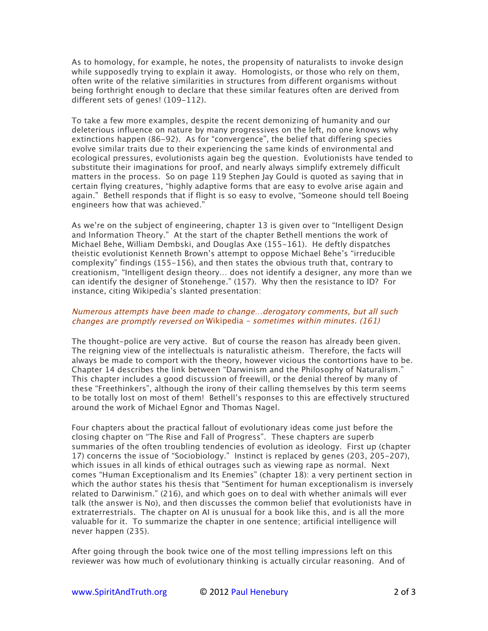*As to homology, for example, he notes, the propensity of naturalists to invoke design while supposedly trying to explain it away. Homologists, or those who rely on them, often write of the relative similarities in structures from different organisms without being forthright enough to declare that these similar features often are derived from different sets of genes! (109-112).*

*To take a few more examples, despite the recent demonizing of humanity and our deleterious influence on nature by many progressives on the left, no one knows why extinctions happen (86-92). As for "convergence", the belief that differing species evolve similar traits due to their experiencing the same kinds of environmental and ecological pressures, evolutionists again beg the question. Evolutionists have tended to substitute their imaginations for proof, and nearly always simplify extremely difficult matters in the process. So on page 119 Stephen Jay Gould is quoted as saying that in certain flying creatures, "highly adaptive forms that are easy to evolve arise again and again." Bethell responds that if flight is so easy to evolve, "Someone should tell Boeing engineers how that was achieved."*

*As we're on the subject of engineering, chapter 13 is given over to "Intelligent Design and Information Theory." At the start of the chapter Bethell mentions the work of Michael Behe, William Dembski, and Douglas Axe (155-161). He deftly dispatches theistic evolutionist Kenneth Brown's attempt to oppose Michael Behe's "irreducible complexity" findings (155-156), and then states the obvious truth that, contrary to creationism, "Intelligent design theory… does not identify a designer, any more than we can identify the designer of Stonehenge." (157). Why then the resistance to ID? For instance, citing Wikipedia's slanted presentation:*

## *Numerous attempts have been made to change…derogatory comments, but all such changes are promptly reversed on Wikipedia – sometimes within minutes. (161)*

*The thought-police are very active. But of course the reason has already been given.*  The reigning view of the intellectuals is naturalistic atheism. Therefore, the facts will *always be made to comport with the theory, however vicious the contortions have to be. Chapter 14 describes the link between "Darwinism and the Philosophy of Naturalism." This chapter includes a good discussion of freewill, or the denial thereof by many of these "Freethinkers", although the irony of their calling themselves by this term seems to be totally lost on most of them! Bethell's responses to this are effectively structured around the work of Michael Egnor and Thomas Nagel.*

*Four chapters about the practical fallout of evolutionary ideas come just before the closing chapter on "The Rise and Fall of Progress". These chapters are superb summaries of the often troubling tendencies of evolution as ideology. First up (chapter 17) concerns the issue of "Sociobiology." Instinct is replaced by genes (203, 205-207), which issues in all kinds of ethical outrages such as viewing rape as normal. Next comes "Human Exceptionalism and Its Enemies" (chapter 18): a very pertinent section in which the author states his thesis that "Sentiment for human exceptionalism is inversely related to Darwinism." (216), and which goes on to deal with whether animals will ever talk (the answer is No), and then discusses the common belief that evolutionists have in extraterrestrials. The chapter on AI is unusual for a book like this, and is all the more* valuable for it. To summarize the chapter in one sentence; artificial intelligence will *never happen (235).*

*After going through the book twice one of the most telling impressions left on this*  reviewer was how much of evolutionary thinking is actually circular reasoning. And of